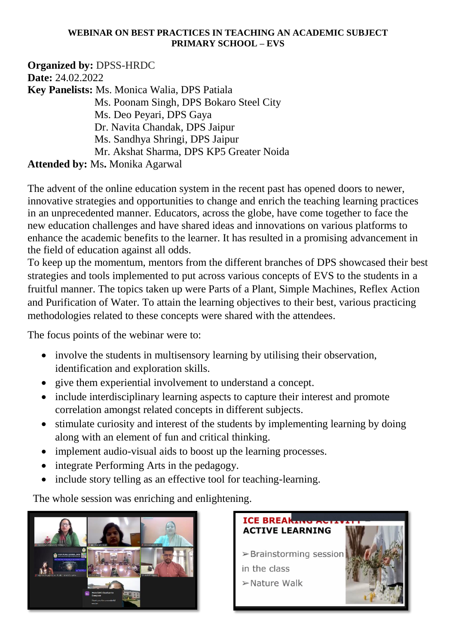## **WEBINAR ON BEST PRACTICES IN TEACHING AN ACADEMIC SUBJECT PRIMARY SCHOOL – EVS**

**Organized by:** DPSS-HRDC **Date:** 24.02.2022 **Key Panelists:** Ms. Monica Walia, DPS Patiala Ms. Poonam Singh, DPS Bokaro Steel City Ms. Deo Peyari, DPS Gaya Dr. Navita Chandak, DPS Jaipur Ms. Sandhya Shringi, DPS Jaipur Mr. Akshat Sharma, DPS KP5 Greater Noida **Attended by:** Ms**.** Monika Agarwal

The advent of the online education system in the recent past has opened doors to newer, innovative strategies and opportunities to change and enrich the teaching learning practices in an unprecedented manner. Educators, across the globe, have come together to face the new education challenges and have shared ideas and innovations on various platforms to enhance the academic benefits to the learner. It has resulted in a promising advancement in the field of education against all odds.

To keep up the momentum, mentors from the different branches of DPS showcased their best strategies and tools implemented to put across various concepts of EVS to the students in a fruitful manner. The topics taken up were Parts of a Plant, Simple Machines, Reflex Action and Purification of Water. To attain the learning objectives to their best, various practicing methodologies related to these concepts were shared with the attendees.

The focus points of the webinar were to:

- involve the students in multisensory learning by utilising their observation, identification and exploration skills.
- give them experiential involvement to understand a concept.
- include interdisciplinary learning aspects to capture their interest and promote correlation amongst related concepts in different subjects.
- stimulate curiosity and interest of the students by implementing learning by doing along with an element of fun and critical thinking.
- implement audio-visual aids to boost up the learning processes.
- integrate Performing Arts in the pedagogy.
- include story telling as an effective tool for teaching-learning.

The whole session was enriching and enlightening.